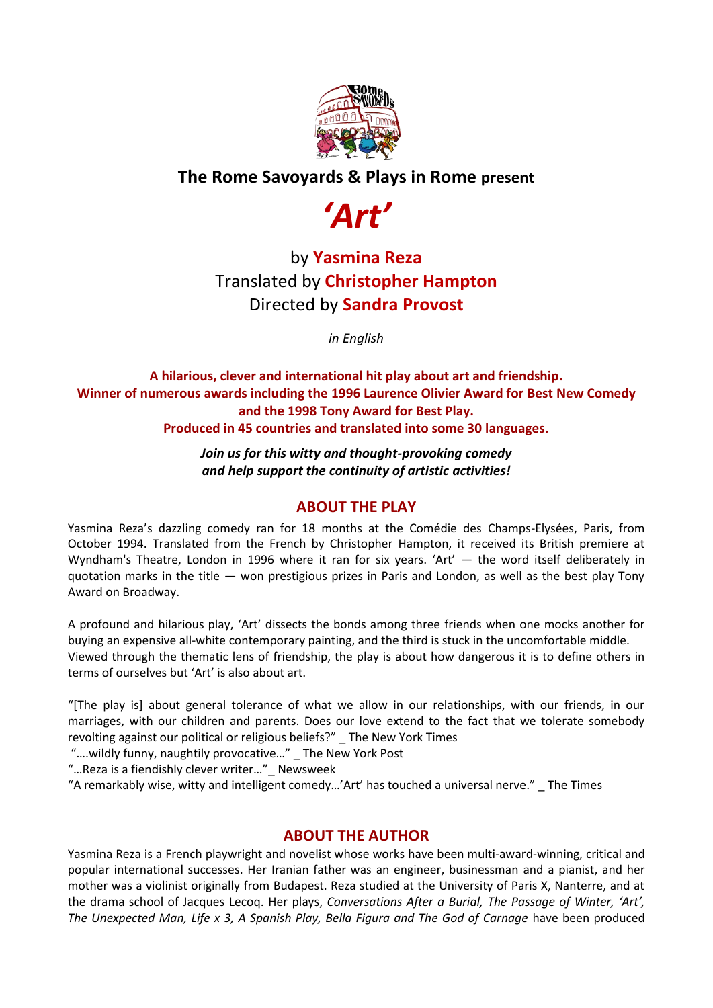

### **The Rome Savoyards & Plays in Rome present**



# by **Yasmina Reza** Translated by **Christopher Hampton** Directed by **Sandra Provost**

*in English*

#### **A hilarious, clever and international hit play about art and friendship. Winner of numerous awards including the 1996 Laurence Olivier Award for Best New Comedy and the 1998 Tony Award for Best Play. Produced in 45 countries and translated into some 30 languages.**

*Join us for this witty and thought-provoking comedy and help support the continuity of artistic activities!*

### **ABOUT THE PLAY**

Yasmina Reza's dazzling comedy ran for 18 months at the Comédie des Champs-Elysées, Paris, from October 1994. Translated from the French by Christopher Hampton, it received its British premiere at Wyndham's Theatre, London in 1996 where it ran for six years. 'Art' — the word itself deliberately in quotation marks in the title — won prestigious prizes in Paris and London, as well as the best play Tony Award on Broadway.

A profound and hilarious play, 'Art' dissects the bonds among three friends when one mocks another for buying an expensive all-white contemporary painting, and the third is stuck in the uncomfortable middle. Viewed through the thematic lens of friendship, the play is about how dangerous it is to define others in terms of ourselves but 'Art' is also about art.

"[The play is] about general tolerance of what we allow in our relationships, with our friends, in our marriages, with our children and parents. Does our love extend to the fact that we tolerate somebody revolting against our political or religious beliefs?" \_ The New York Times

"....wildly funny, naughtily provocative..." The New York Post

"... Reza is a fiendishly clever writer..." Newsweek

"A remarkably wise, witty and intelligent comedy…'Art' has touched a universal nerve." \_ The Times

### **ABOUT THE AUTHOR**

Yasmina Reza is a French playwright and novelist whose works have been multi-award-winning, critical and popular international successes. Her Iranian father was an engineer, businessman and a pianist, and her mother was a violinist originally from Budapest. Reza studied at the University of Paris X, Nanterre, and at the drama school of Jacques Lecoq. Her plays, *Conversations After a Burial, The Passage of Winter, 'Art', The Unexpected Man, Life x 3, A Spanish Play, Bella Figura and The God of Carnage* have been produced